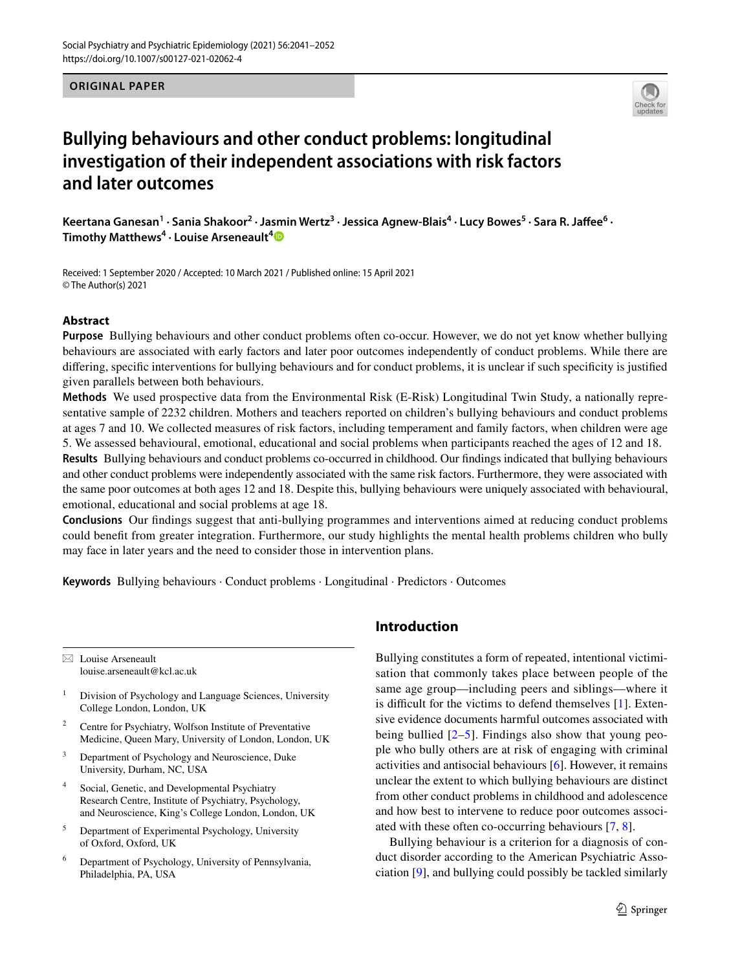**ORIGINAL PAPER**



# **Bullying behaviours and other conduct problems: longitudinal investigation of their independent associations with risk factors and later outcomes**

Keertana Ganesan<sup>1</sup> • Sania Shakoor<sup>2</sup> • Jasmin Wertz<sup>3</sup> • Jessica Agnew-Blais<sup>4</sup> • Lucy Bowes<sup>5</sup> • Sara R. Jaffee<sup>6</sup> • **Timothy Matthews4 · Louise Arseneault[4](http://orcid.org/0000-0002-2938-2191)**

Received: 1 September 2020 / Accepted: 10 March 2021 / Published online: 15 April 2021 © The Author(s) 2021

#### **Abstract**

**Purpose** Bullying behaviours and other conduct problems often co-occur. However, we do not yet know whether bullying behaviours are associated with early factors and later poor outcomes independently of conduct problems. While there are difering, specifc interventions for bullying behaviours and for conduct problems, it is unclear if such specifcity is justifed given parallels between both behaviours.

**Methods** We used prospective data from the Environmental Risk (E-Risk) Longitudinal Twin Study, a nationally representative sample of 2232 children. Mothers and teachers reported on children's bullying behaviours and conduct problems at ages 7 and 10. We collected measures of risk factors, including temperament and family factors, when children were age 5. We assessed behavioural, emotional, educational and social problems when participants reached the ages of 12 and 18.

**Results** Bullying behaviours and conduct problems co-occurred in childhood. Our fndings indicated that bullying behaviours and other conduct problems were independently associated with the same risk factors. Furthermore, they were associated with the same poor outcomes at both ages 12 and 18. Despite this, bullying behaviours were uniquely associated with behavioural, emotional, educational and social problems at age 18.

**Conclusions** Our fndings suggest that anti-bullying programmes and interventions aimed at reducing conduct problems could beneft from greater integration. Furthermore, our study highlights the mental health problems children who bully may face in later years and the need to consider those in intervention plans.

**Keywords** Bullying behaviours · Conduct problems · Longitudinal · Predictors · Outcomes

 $\boxtimes$  Louise Arseneault louise.arseneault@kcl.ac.uk

<sup>1</sup> Division of Psychology and Language Sciences, University College London, London, UK

- <sup>2</sup> Centre for Psychiatry, Wolfson Institute of Preventative Medicine, Queen Mary, University of London, London, UK
- <sup>3</sup> Department of Psychology and Neuroscience, Duke University, Durham, NC, USA
- Social, Genetic, and Developmental Psychiatry Research Centre, Institute of Psychiatry, Psychology, and Neuroscience, King's College London, London, UK
- <sup>5</sup> Department of Experimental Psychology, University of Oxford, Oxford, UK
- <sup>6</sup> Department of Psychology, University of Pennsylvania, Philadelphia, PA, USA

# **Introduction**

Bullying constitutes a form of repeated, intentional victimisation that commonly takes place between people of the same age group—including peers and siblings—where it is difficult for the victims to defend themselves  $[1]$  $[1]$ . Extensive evidence documents harmful outcomes associated with being bullied  $[2-5]$  $[2-5]$ . Findings also show that young people who bully others are at risk of engaging with criminal activities and antisocial behaviours [\[6](#page-9-3)]. However, it remains unclear the extent to which bullying behaviours are distinct from other conduct problems in childhood and adolescence and how best to intervene to reduce poor outcomes associated with these often co-occurring behaviours [[7](#page-9-4), [8](#page-9-5)].

Bullying behaviour is a criterion for a diagnosis of conduct disorder according to the American Psychiatric Association [\[9](#page-9-6)], and bullying could possibly be tackled similarly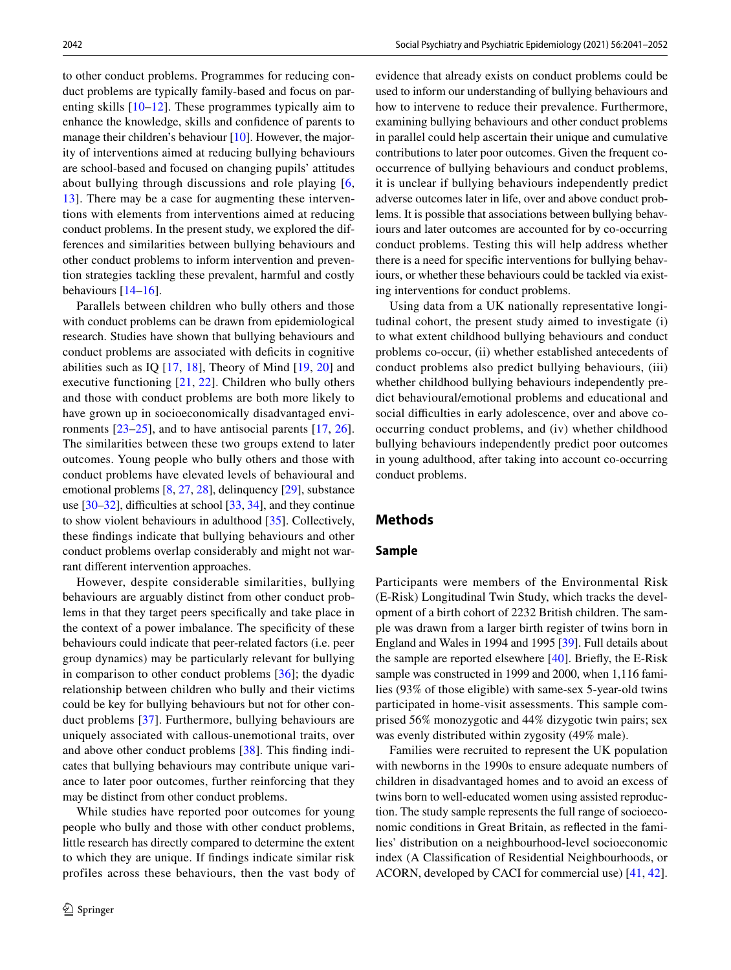to other conduct problems. Programmes for reducing conduct problems are typically family-based and focus on parenting skills [[10](#page-9-7)[–12\]](#page-9-8). These programmes typically aim to enhance the knowledge, skills and confdence of parents to manage their children's behaviour [\[10](#page-9-7)]. However, the majority of interventions aimed at reducing bullying behaviours are school-based and focused on changing pupils' attitudes about bullying through discussions and role playing [\[6,](#page-9-3) [13](#page-9-9)]. There may be a case for augmenting these interventions with elements from interventions aimed at reducing conduct problems. In the present study, we explored the differences and similarities between bullying behaviours and other conduct problems to inform intervention and prevention strategies tackling these prevalent, harmful and costly behaviours [[14–](#page-9-10)[16](#page-9-11)].

Parallels between children who bully others and those with conduct problems can be drawn from epidemiological research. Studies have shown that bullying behaviours and conduct problems are associated with deficits in cognitive abilities such as IQ  $[17, 18]$  $[17, 18]$  $[17, 18]$  $[17, 18]$ , Theory of Mind  $[19, 20]$  $[19, 20]$  $[19, 20]$  $[19, 20]$  $[19, 20]$  and executive functioning [\[21](#page-9-16), [22](#page-9-17)]. Children who bully others and those with conduct problems are both more likely to have grown up in socioeconomically disadvantaged environments [\[23](#page-9-18)[–25\]](#page-9-19), and to have antisocial parents [\[17,](#page-9-12) [26](#page-9-20)]. The similarities between these two groups extend to later outcomes. Young people who bully others and those with conduct problems have elevated levels of behavioural and emotional problems [[8,](#page-9-5) [27](#page-9-21), [28](#page-10-0)], delinquency [\[29](#page-10-1)], substance use  $[30-32]$  $[30-32]$  $[30-32]$ , difficulties at school  $[33, 34]$  $[33, 34]$  $[33, 34]$  $[33, 34]$ , and they continue to show violent behaviours in adulthood [[35\]](#page-10-6). Collectively, these fndings indicate that bullying behaviours and other conduct problems overlap considerably and might not warrant diferent intervention approaches.

However, despite considerable similarities, bullying behaviours are arguably distinct from other conduct problems in that they target peers specifcally and take place in the context of a power imbalance. The specifcity of these behaviours could indicate that peer-related factors (i.e. peer group dynamics) may be particularly relevant for bullying in comparison to other conduct problems [[36](#page-10-7)]; the dyadic relationship between children who bully and their victims could be key for bullying behaviours but not for other conduct problems [[37](#page-10-8)]. Furthermore, bullying behaviours are uniquely associated with callous-unemotional traits, over and above other conduct problems [\[38](#page-10-9)]. This fnding indicates that bullying behaviours may contribute unique variance to later poor outcomes, further reinforcing that they may be distinct from other conduct problems.

While studies have reported poor outcomes for young people who bully and those with other conduct problems, little research has directly compared to determine the extent to which they are unique. If fndings indicate similar risk profiles across these behaviours, then the vast body of evidence that already exists on conduct problems could be used to inform our understanding of bullying behaviours and how to intervene to reduce their prevalence. Furthermore, examining bullying behaviours and other conduct problems in parallel could help ascertain their unique and cumulative contributions to later poor outcomes. Given the frequent cooccurrence of bullying behaviours and conduct problems, it is unclear if bullying behaviours independently predict adverse outcomes later in life, over and above conduct problems. It is possible that associations between bullying behaviours and later outcomes are accounted for by co-occurring conduct problems. Testing this will help address whether there is a need for specifc interventions for bullying behaviours, or whether these behaviours could be tackled via existing interventions for conduct problems.

Using data from a UK nationally representative longitudinal cohort, the present study aimed to investigate (i) to what extent childhood bullying behaviours and conduct problems co-occur, (ii) whether established antecedents of conduct problems also predict bullying behaviours, (iii) whether childhood bullying behaviours independently predict behavioural/emotional problems and educational and social difficulties in early adolescence, over and above cooccurring conduct problems, and (iv) whether childhood bullying behaviours independently predict poor outcomes in young adulthood, after taking into account co-occurring conduct problems.

#### **Methods**

#### **Sample**

Participants were members of the Environmental Risk (E-Risk) Longitudinal Twin Study, which tracks the development of a birth cohort of 2232 British children. The sample was drawn from a larger birth register of twins born in England and Wales in 1994 and 1995 [\[39](#page-10-10)]. Full details about the sample are reported elsewhere [[40\]](#page-10-11). Briefy, the E-Risk sample was constructed in 1999 and 2000, when 1,116 families (93% of those eligible) with same-sex 5-year-old twins participated in home-visit assessments. This sample comprised 56% monozygotic and 44% dizygotic twin pairs; sex was evenly distributed within zygosity (49% male).

Families were recruited to represent the UK population with newborns in the 1990s to ensure adequate numbers of children in disadvantaged homes and to avoid an excess of twins born to well-educated women using assisted reproduction. The study sample represents the full range of socioeconomic conditions in Great Britain, as refected in the families' distribution on a neighbourhood-level socioeconomic index (A Classifcation of Residential Neighbourhoods, or ACORN, developed by CACI for commercial use) [\[41](#page-10-12), [42](#page-10-13)].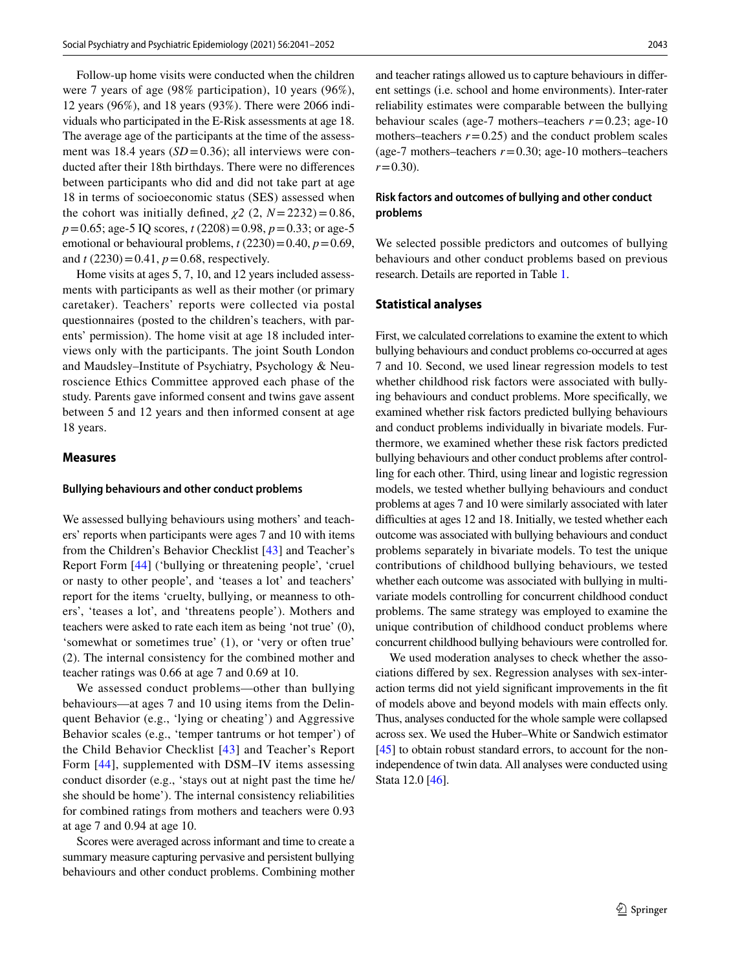Follow-up home visits were conducted when the children were 7 years of age (98% participation), 10 years (96%), 12 years (96%), and 18 years (93%). There were 2066 individuals who participated in the E-Risk assessments at age 18. The average age of the participants at the time of the assessment was 18.4 years  $(SD=0.36)$ ; all interviews were conducted after their 18th birthdays. There were no diferences between participants who did and did not take part at age 18 in terms of socioeconomic status (SES) assessed when the cohort was initially defined,  $\chi$ 2 (2, *N* = 2232) = 0.86, *p*=0.65; age-5 IQ scores, *t* (2208)=0.98, *p*=0.33; or age-5 emotional or behavioural problems,  $t(2230)=0.40$ ,  $p=0.69$ , and  $t(2230)=0.41$ ,  $p=0.68$ , respectively.

Home visits at ages 5, 7, 10, and 12 years included assessments with participants as well as their mother (or primary caretaker). Teachers' reports were collected via postal questionnaires (posted to the children's teachers, with parents' permission). The home visit at age 18 included interviews only with the participants. The joint South London and Maudsley–Institute of Psychiatry, Psychology & Neuroscience Ethics Committee approved each phase of the study. Parents gave informed consent and twins gave assent between 5 and 12 years and then informed consent at age 18 years.

#### **Measures**

#### **Bullying behaviours and other conduct problems**

We assessed bullying behaviours using mothers' and teachers' reports when participants were ages 7 and 10 with items from the Children's Behavior Checklist [[43\]](#page-10-14) and Teacher's Report Form [[44](#page-10-15)] ('bullying or threatening people', 'cruel or nasty to other people', and 'teases a lot' and teachers' report for the items 'cruelty, bullying, or meanness to others', 'teases a lot', and 'threatens people'). Mothers and teachers were asked to rate each item as being 'not true' (0), 'somewhat or sometimes true' (1), or 'very or often true' (2). The internal consistency for the combined mother and teacher ratings was 0.66 at age 7 and 0.69 at 10.

We assessed conduct problems—other than bullying behaviours—at ages 7 and 10 using items from the Delinquent Behavior (e.g., 'lying or cheating') and Aggressive Behavior scales (e.g., 'temper tantrums or hot temper') of the Child Behavior Checklist [[43](#page-10-14)] and Teacher's Report Form [\[44\]](#page-10-15), supplemented with DSM–IV items assessing conduct disorder (e.g., 'stays out at night past the time he/ she should be home'). The internal consistency reliabilities for combined ratings from mothers and teachers were 0.93 at age 7 and 0.94 at age 10.

Scores were averaged across informant and time to create a summary measure capturing pervasive and persistent bullying behaviours and other conduct problems. Combining mother

and teacher ratings allowed us to capture behaviours in diferent settings (i.e. school and home environments). Inter-rater reliability estimates were comparable between the bullying behaviour scales (age-7 mothers–teachers *r*=0.23; age-10 mothers–teachers  $r = 0.25$ ) and the conduct problem scales (age-7 mothers–teachers  $r=0.30$ ; age-10 mothers–teachers  $r=0.30$ ).

#### **Risk factors and outcomes of bullying and other conduct problems**

We selected possible predictors and outcomes of bullying behaviours and other conduct problems based on previous research. Details are reported in Table [1.](#page-3-0)

#### **Statistical analyses**

First, we calculated correlations to examine the extent to which bullying behaviours and conduct problems co-occurred at ages 7 and 10. Second, we used linear regression models to test whether childhood risk factors were associated with bullying behaviours and conduct problems. More specifcally, we examined whether risk factors predicted bullying behaviours and conduct problems individually in bivariate models. Furthermore, we examined whether these risk factors predicted bullying behaviours and other conduct problems after controlling for each other. Third, using linear and logistic regression models, we tested whether bullying behaviours and conduct problems at ages 7 and 10 were similarly associated with later difficulties at ages 12 and 18. Initially, we tested whether each outcome was associated with bullying behaviours and conduct problems separately in bivariate models. To test the unique contributions of childhood bullying behaviours, we tested whether each outcome was associated with bullying in multivariate models controlling for concurrent childhood conduct problems. The same strategy was employed to examine the unique contribution of childhood conduct problems where concurrent childhood bullying behaviours were controlled for.

We used moderation analyses to check whether the associations difered by sex. Regression analyses with sex-interaction terms did not yield signifcant improvements in the ft of models above and beyond models with main efects only. Thus, analyses conducted for the whole sample were collapsed across sex. We used the Huber–White or Sandwich estimator [\[45](#page-10-16)] to obtain robust standard errors, to account for the nonindependence of twin data. All analyses were conducted using Stata 12.0 [[46\]](#page-10-17).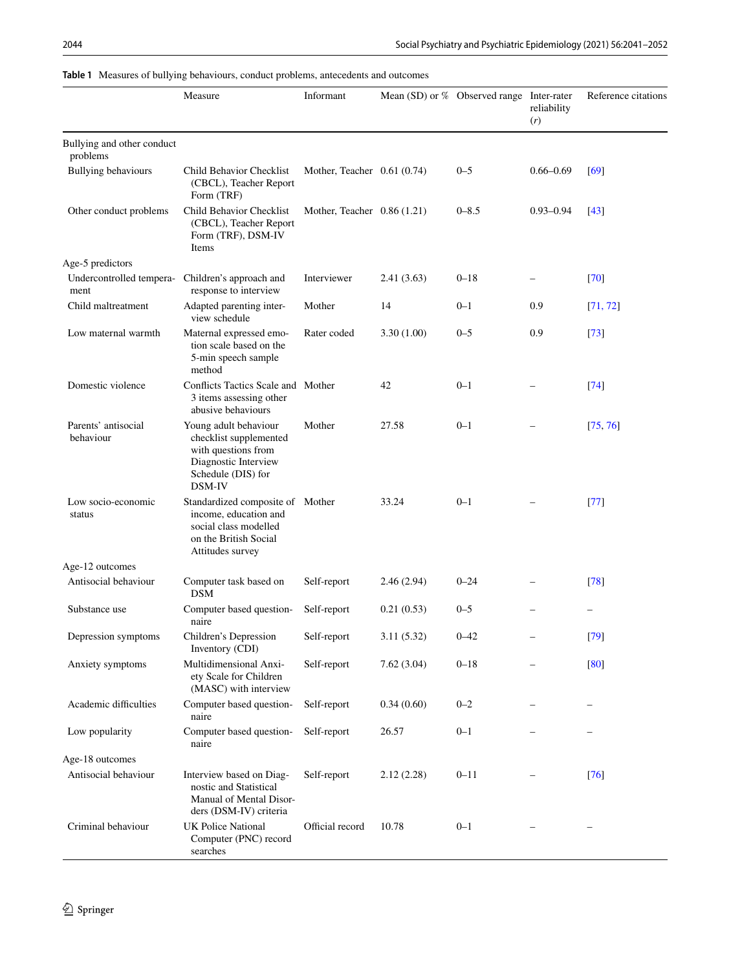|                                        | Measure                                                                                                                         | Informant                    |             | Mean (SD) or % Observed range Inter-rater | reliability<br>(r) | Reference citations |
|----------------------------------------|---------------------------------------------------------------------------------------------------------------------------------|------------------------------|-------------|-------------------------------------------|--------------------|---------------------|
| Bullying and other conduct<br>problems |                                                                                                                                 |                              |             |                                           |                    |                     |
| <b>Bullying behaviours</b>             | Child Behavior Checklist<br>(CBCL), Teacher Report<br>Form (TRF)                                                                | Mother, Teacher $0.61(0.74)$ |             | $0 - 5$                                   | $0.66 - 0.69$      | [69]                |
| Other conduct problems                 | Child Behavior Checklist<br>(CBCL), Teacher Report<br>Form (TRF), DSM-IV<br>Items                                               | Mother, Teacher 0.86 (1.21)  |             | $0 - 8.5$                                 | $0.93 - 0.94$      | $[43]$              |
| Age-5 predictors                       |                                                                                                                                 |                              |             |                                           |                    |                     |
| Undercontrolled tempera-<br>ment       | Children's approach and<br>response to interview                                                                                | Interviewer                  | 2.41(3.63)  | $0 - 18$                                  |                    | $[70]$              |
| Child maltreatment                     | Adapted parenting inter-<br>view schedule                                                                                       | Mother                       | 14          | $0 - 1$                                   | 0.9                | [71, 72]            |
| Low maternal warmth                    | Maternal expressed emo-<br>tion scale based on the<br>5-min speech sample<br>method                                             | Rater coded                  | 3.30(1.00)  | $0 - 5$                                   | 0.9                | $[73]$              |
| Domestic violence                      | Conflicts Tactics Scale and Mother<br>3 items assessing other<br>abusive behaviours                                             |                              | 42          | $0 - 1$                                   |                    | [74]                |
| Parents' antisocial<br>behaviour       | Young adult behaviour<br>checklist supplemented<br>with questions from<br>Diagnostic Interview<br>Schedule (DIS) for<br>DSM-IV  | Mother                       | 27.58       | $0 - 1$                                   |                    | [75, 76]            |
| Low socio-economic<br>status           | Standardized composite of Mother<br>income, education and<br>social class modelled<br>on the British Social<br>Attitudes survey |                              | 33.24       | $0 - 1$                                   |                    | [77]                |
| Age-12 outcomes                        |                                                                                                                                 |                              |             |                                           |                    |                     |
| Antisocial behaviour                   | Computer task based on<br><b>DSM</b>                                                                                            | Self-report                  | 2.46(2.94)  | $0 - 24$                                  |                    | [78]                |
| Substance use                          | Computer based question-<br>naire                                                                                               | Self-report                  | 0.21(0.53)  | $0 - 5$                                   |                    |                     |
| Depression symptoms                    | Children's Depression<br>Inventory (CDI)                                                                                        | Self-report                  | 3.11 (5.32) | $0 - 42$                                  |                    | $[79]$              |
| Anxiety symptoms                       | Multidimensional Anxi-<br>ety Scale for Children<br>(MASC) with interview                                                       | Self-report                  | 7.62(3.04)  | $0 - 18$                                  |                    | [80]                |
| Academic difficulties                  | Computer based question-<br>naire                                                                                               | Self-report                  | 0.34(0.60)  | $0 - 2$                                   |                    |                     |
| Low popularity                         | Computer based question-<br>naire                                                                                               | Self-report                  | 26.57       | $0 - 1$                                   |                    |                     |
| Age-18 outcomes                        |                                                                                                                                 |                              |             |                                           |                    |                     |
| Antisocial behaviour                   | Interview based on Diag-<br>nostic and Statistical<br>Manual of Mental Disor-<br>ders (DSM-IV) criteria                         | Self-report                  | 2.12(2.28)  | $0 - 11$                                  |                    | $[76]$              |
| Criminal behaviour                     | UK Police National<br>Computer (PNC) record<br>searches                                                                         | Official record              | 10.78       | $0 - 1$                                   |                    |                     |

## <span id="page-3-0"></span>**Table 1** Measures of bullying behaviours, conduct problems, antecedents and outcomes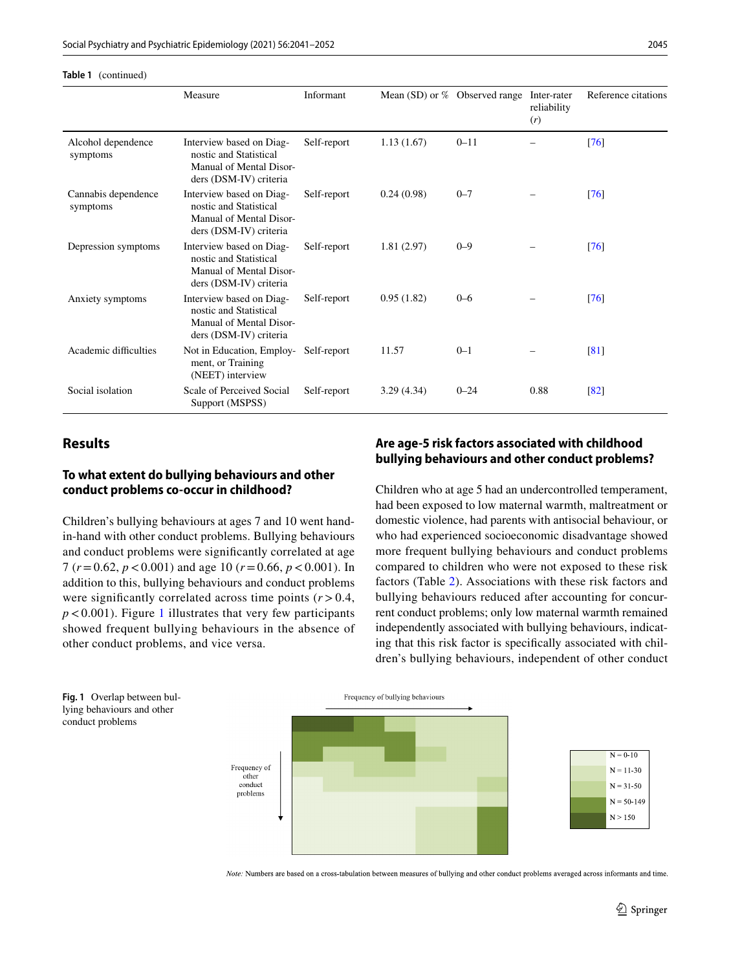|                                 | Measure                                                                                                 | Informant   |            | Mean (SD) or % Observed range | Inter-rater<br>reliability<br>(r) | Reference citations |
|---------------------------------|---------------------------------------------------------------------------------------------------------|-------------|------------|-------------------------------|-----------------------------------|---------------------|
| Alcohol dependence<br>symptoms  | Interview based on Diag-<br>nostic and Statistical<br>Manual of Mental Disor-<br>ders (DSM-IV) criteria | Self-report | 1.13(1.67) | $0 - 11$                      |                                   | $\sqrt{76}$         |
| Cannabis dependence<br>symptoms | Interview based on Diag-<br>nostic and Statistical<br>Manual of Mental Disor-<br>ders (DSM-IV) criteria | Self-report | 0.24(0.98) | $0 - 7$                       |                                   | $\lceil 76 \rceil$  |
| Depression symptoms             | Interview based on Diag-<br>nostic and Statistical<br>Manual of Mental Disor-<br>ders (DSM-IV) criteria | Self-report | 1.81(2.97) | $0 - 9$                       |                                   | $\lceil 76 \rceil$  |
| Anxiety symptoms                | Interview based on Diag-<br>nostic and Statistical<br>Manual of Mental Disor-<br>ders (DSM-IV) criteria | Self-report | 0.95(1.82) | $0 - 6$                       |                                   | $\lceil 76 \rceil$  |
| Academic difficulties           | Not in Education, Employ-<br>ment, or Training<br>(NEET) interview                                      | Self-report | 11.57      | $0 - 1$                       |                                   | $\sqrt{81}$         |
| Social isolation                | Scale of Perceived Social<br>Support (MSPSS)                                                            | Self-report | 3.29(4.34) | $0 - 24$                      | 0.88                              | $\left[ 82\right]$  |

# **Results**

**Table 1** (continued)

# **To what extent do bullying behaviours and other conduct problems co‑occur in childhood?**

Children's bullying behaviours at ages 7 and 10 went handin-hand with other conduct problems. Bullying behaviours and conduct problems were signifcantly correlated at age 7 (*r*=0.62, *p*<0.001) and age 10 (*r*=0.66, *p*<0.001). In addition to this, bullying behaviours and conduct problems were significantly correlated across time points  $(r > 0.4,$  $p < 0.001$  $p < 0.001$ ). Figure 1 illustrates that very few participants showed frequent bullying behaviours in the absence of other conduct problems, and vice versa.

# **Are age‑5 risk factors associated with childhood bullying behaviours and other conduct problems?**

Children who at age 5 had an undercontrolled temperament, had been exposed to low maternal warmth, maltreatment or domestic violence, had parents with antisocial behaviour, or who had experienced socioeconomic disadvantage showed more frequent bullying behaviours and conduct problems compared to children who were not exposed to these risk factors (Table [2](#page-5-0)). Associations with these risk factors and bullying behaviours reduced after accounting for concurrent conduct problems; only low maternal warmth remained independently associated with bullying behaviours, indicating that this risk factor is specifcally associated with children's bullying behaviours, independent of other conduct



<span id="page-4-0"></span>**Fig. 1** Overlap between bullying behaviours and other conduct problems

Note: Numbers are based on a cross-tabulation between measures of bullying and other conduct problems averaged across informants and time.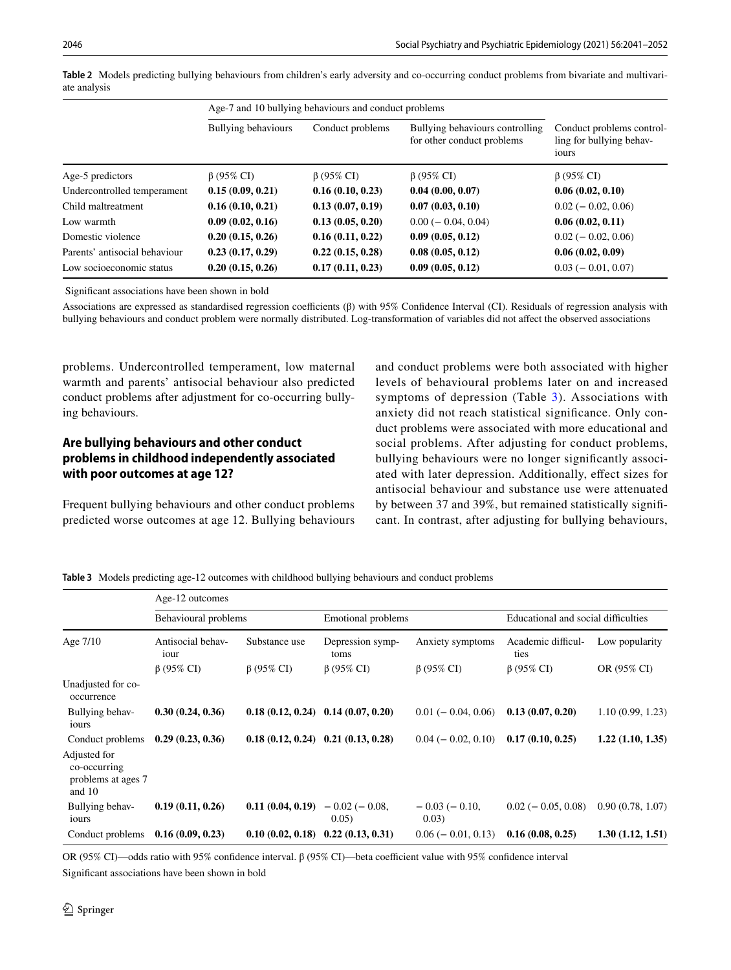|                               |                            | Age-7 and 10 bullying behaviours and conduct problems |                                                               |                                                                |
|-------------------------------|----------------------------|-------------------------------------------------------|---------------------------------------------------------------|----------------------------------------------------------------|
|                               | <b>Bullying behaviours</b> | Conduct problems                                      | Bullying behaviours controlling<br>for other conduct problems | Conduct problems control-<br>ling for bullying behav-<br>iours |
| Age-5 predictors              | $\beta$ (95% CI)           | $\beta$ (95% CI)                                      | $\beta$ (95% CI)                                              | $\beta$ (95% CI)                                               |
| Undercontrolled temperament   | 0.15(0.09, 0.21)           | 0.16(0.10, 0.23)                                      | 0.04(0.00, 0.07)                                              | 0.06(0.02, 0.10)                                               |
| Child maltreatment            | 0.16(0.10, 0.21)           | 0.13(0.07, 0.19)                                      | 0.07(0.03, 0.10)                                              | $0.02 (-0.02, 0.06)$                                           |
| Low warmth                    | 0.09(0.02, 0.16)           | 0.13(0.05, 0.20)                                      | $0.00 (-0.04, 0.04)$                                          | 0.06(0.02, 0.11)                                               |
| Domestic violence             | 0.20(0.15, 0.26)           | 0.16(0.11, 0.22)                                      | 0.09(0.05, 0.12)                                              | $0.02 (-0.02, 0.06)$                                           |
| Parents' antisocial behaviour | 0.23(0.17, 0.29)           | 0.22(0.15, 0.28)                                      | 0.08(0.05, 0.12)                                              | 0.06(0.02, 0.09)                                               |
| Low socioeconomic status      | 0.20(0.15, 0.26)           | 0.17(0.11, 0.23)                                      | 0.09(0.05, 0.12)                                              | $0.03 (-0.01, 0.07)$                                           |

<span id="page-5-0"></span>**Table 2** Models predicting bullying behaviours from children's early adversity and co-occurring conduct problems from bivariate and multivariate analysis

Signifcant associations have been shown in bold

Associations are expressed as standardised regression coefficients (β) with 95% Confidence Interval (CI). Residuals of regression analysis with bullying behaviours and conduct problem were normally distributed. Log-transformation of variables did not afect the observed associations

problems. Undercontrolled temperament, low maternal warmth and parents' antisocial behaviour also predicted conduct problems after adjustment for co-occurring bullying behaviours.

## **Are bullying behaviours and other conduct problems in childhood independently associated with poor outcomes at age 12?**

Frequent bullying behaviours and other conduct problems predicted worse outcomes at age 12. Bullying behaviours and conduct problems were both associated with higher levels of behavioural problems later on and increased symptoms of depression (Table  $3$ ). Associations with anxiety did not reach statistical signifcance. Only conduct problems were associated with more educational and social problems. After adjusting for conduct problems, bullying behaviours were no longer signifcantly associated with later depression. Additionally, efect sizes for antisocial behaviour and substance use were attenuated by between 37 and 39%, but remained statistically signifcant. In contrast, after adjusting for bullying behaviours,

<span id="page-5-1"></span>**Table 3** Models predicting age-12 outcomes with childhood bullying behaviours and conduct problems

|                                                              | Age-12 outcomes           |                  |                                       |                         |                                     |                  |
|--------------------------------------------------------------|---------------------------|------------------|---------------------------------------|-------------------------|-------------------------------------|------------------|
|                                                              | Behavioural problems      |                  | <b>Emotional problems</b>             |                         | Educational and social difficulties |                  |
| Age 7/10                                                     | Antisocial behav-<br>iour | Substance use    | Depression symp-<br>toms              | Anxiety symptoms        | Academic difficul-<br>ties          | Low popularity   |
|                                                              | $\beta$ (95% CI)          | $\beta$ (95% CI) | $\beta$ (95% CI)                      | $\beta$ (95% CI)        | $\beta$ (95% CI)                    | OR (95% CI)      |
| Unadjusted for co-<br>occurrence                             |                           |                  |                                       |                         |                                     |                  |
| Bullying behav-<br>iours                                     | 0.30(0.24, 0.36)          |                  | $0.18(0.12, 0.24)$ $0.14(0.07, 0.20)$ | $0.01 (-0.04, 0.06)$    | 0.13(0.07, 0.20)                    | 1.10(0.99, 1.23) |
| Conduct problems                                             | 0.29(0.23, 0.36)          |                  | $0.18(0.12, 0.24)$ $0.21(0.13, 0.28)$ | $0.04 (-0.02, 0.10)$    | 0.17(0.10, 0.25)                    | 1.22(1.10, 1.35) |
| Adjusted for<br>co-occurring<br>problems at ages 7<br>and 10 |                           |                  |                                       |                         |                                     |                  |
| Bullying behav-<br>iours                                     | 0.19(0.11, 0.26)          | 0.11(0.04, 0.19) | $-0.02(-0.08,$<br>0.05)               | $-0.03(-0.10,$<br>0.03) | $0.02 (-0.05, 0.08)$                | 0.90(0.78, 1.07) |
| Conduct problems                                             | 0.16(0.09, 0.23)          |                  | $0.10(0.02, 0.18)$ $0.22(0.13, 0.31)$ | $0.06 (-0.01, 0.13)$    | 0.16(0.08, 0.25)                    | 1.30(1.12, 1.51) |

OR (95% CI)—odds ratio with 95% confdence interval. β (95% CI)—beta coefcient value with 95% confdence interval

Signifcant associations have been shown in bold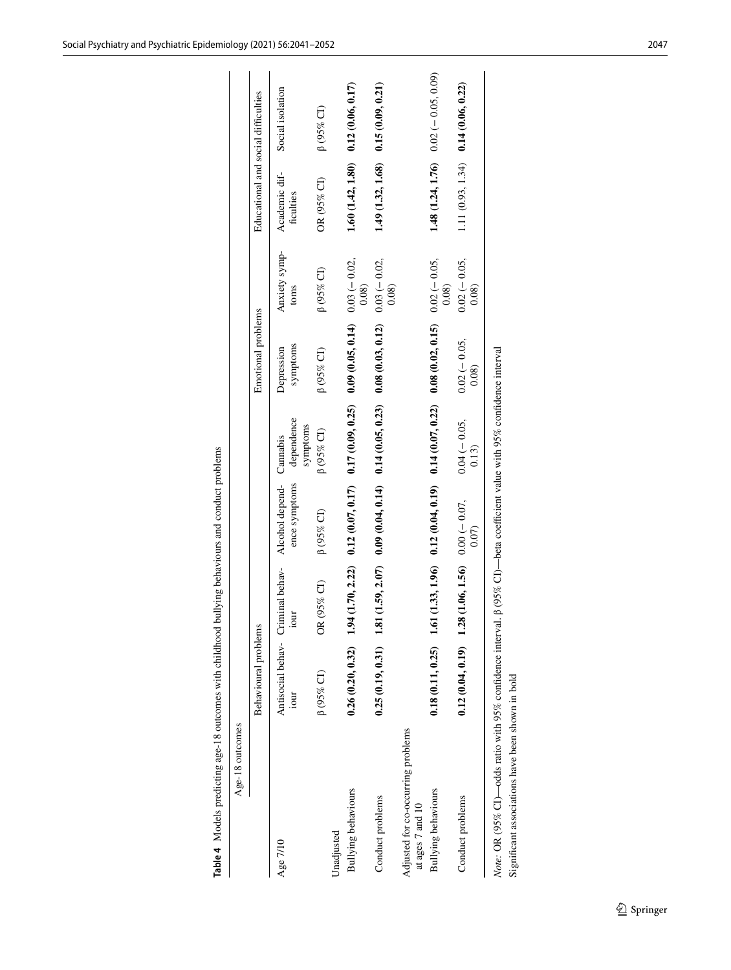| Age-18 outcomes                                            |                                           |                  |                                                                                                   |                                    |                        |                        |                                     |                                         |
|------------------------------------------------------------|-------------------------------------------|------------------|---------------------------------------------------------------------------------------------------|------------------------------------|------------------------|------------------------|-------------------------------------|-----------------------------------------|
|                                                            | Behavioural problems                      |                  |                                                                                                   |                                    | Emotional problems     |                        | Educational and social difficulties |                                         |
| Age 7/10                                                   | Antisocial behav- Criminal behav-<br>iour | iour             | Alcohol depend-<br>ence symptoms                                                                  | dependence<br>symptoms<br>Cannabis | symptoms<br>Depression | Anxiety symp-<br>toms  | Academic dif-<br>ficulties          | Social isolation                        |
| Unadjusted                                                 | $\upbeta$ (95% CI)                        | $(95\%$ CI)<br>Ğ | $\beta$ (95% CI)                                                                                  | $\beta$ (95% CI)                   | $\beta$ (95% CI)       | $\beta$ (95% CI)       | OR (95% CI)                         | $\upbeta$ (95% CI)                      |
| Bullying behaviours                                        | $0.26(0.20, 0.32)$ 1.94                   | (1.70, 2.22)     | $0.12(0.07, 0.17)$ $0.17(0.09, 0.25)$                                                             |                                    | 0.09(0.05, 0.14)       | $0.03(-0.02,$<br>0.08) |                                     | $1.60(1.42, 1.80)$ $0.12(0.06, 0.17)$   |
| Conduct problems                                           | $0.25(0.19, 0.31)$ 1.81                   |                  | $(1.59, 2.07)$ 0.09 $(0.04, 0.14)$ 0.14 $(0.05, 0.23)$ 0.08 $(0.03, 0.12)$ 0.03 $(-0.02,$         |                                    |                        | 0.08                   |                                     | $1.49(1.32, 1.68)$ 0.15 (0.09, 0.21)    |
| Adjusted for co-occurring problems<br>at ages 7 and 10     |                                           |                  |                                                                                                   |                                    |                        |                        |                                     |                                         |
| Bullying behaviours                                        | $0.18(0.11, 0.25)$ 1.61                   |                  | $(1.33, 1.96)$ $0.12$ $(0.04, 0.19)$ $0.14$ $(0.07, 0.22)$ $0.08$ $(0.02, 0.15)$ $0.02$ $(-0.05,$ |                                    |                        | 0.08                   |                                     | 1.48 $(1.24, 1.76)$ $0.02(-0.05, 0.09)$ |
| Conduct problems                                           | $0.12(0.04, 0.19)$ 1.28                   |                  | $(1.06, 1.56)$ 0.00 (- 0.07,<br>0.07                                                              | $0.04 (-0.05,$<br>0.13)            | $0.02(-0.05,$<br>0.08) | $0.02(-0.05,$<br>0.08) |                                     | $1.11(0.93, 1.34)$ 0.14 (0.06, 0.22)    |
| Note: OR (95% CI)—odds ratio with 95% confidence interval. |                                           |                  | $\beta$ (95% CI)—beta coefficient value with 95% confidence interval                              |                                    |                        |                        |                                     |                                         |
| Significant associations have been shown in bold           |                                           |                  |                                                                                                   |                                    |                        |                        |                                     |                                         |

<span id="page-6-0"></span>**Table 4** Models predicting age-18 outcomes with childhood bullying behaviours and conduct problems

Table 4 Models predicting age-18 outcomes with childhood bullying behaviours and conduct problems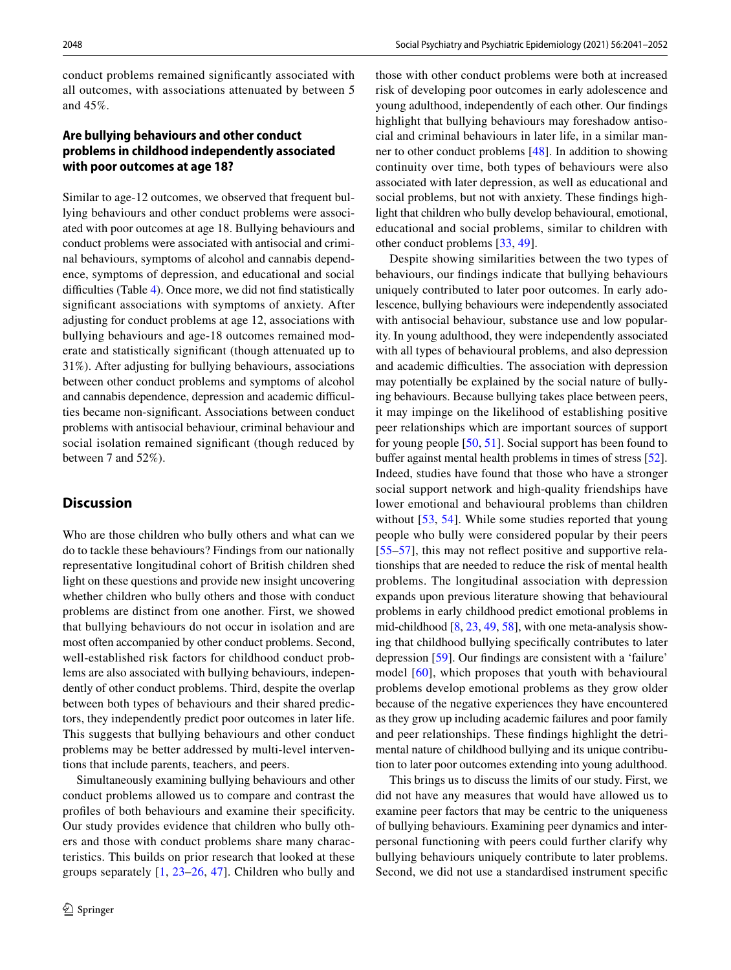conduct problems remained signifcantly associated with all outcomes, with associations attenuated by between 5 and 45%.

### **Are bullying behaviours and other conduct problems in childhood independently associated with poor outcomes at age 18?**

Similar to age-12 outcomes, we observed that frequent bullying behaviours and other conduct problems were associated with poor outcomes at age 18. Bullying behaviours and conduct problems were associated with antisocial and criminal behaviours, symptoms of alcohol and cannabis dependence, symptoms of depression, and educational and social difficulties (Table [4\)](#page-6-0). Once more, we did not find statistically signifcant associations with symptoms of anxiety. After adjusting for conduct problems at age 12, associations with bullying behaviours and age-18 outcomes remained moderate and statistically signifcant (though attenuated up to 31%). After adjusting for bullying behaviours, associations between other conduct problems and symptoms of alcohol and cannabis dependence, depression and academic difficulties became non-signifcant. Associations between conduct problems with antisocial behaviour, criminal behaviour and social isolation remained signifcant (though reduced by between 7 and 52%).

#### **Discussion**

Who are those children who bully others and what can we do to tackle these behaviours? Findings from our nationally representative longitudinal cohort of British children shed light on these questions and provide new insight uncovering whether children who bully others and those with conduct problems are distinct from one another. First, we showed that bullying behaviours do not occur in isolation and are most often accompanied by other conduct problems. Second, well-established risk factors for childhood conduct problems are also associated with bullying behaviours, independently of other conduct problems. Third, despite the overlap between both types of behaviours and their shared predictors, they independently predict poor outcomes in later life. This suggests that bullying behaviours and other conduct problems may be better addressed by multi-level interventions that include parents, teachers, and peers.

Simultaneously examining bullying behaviours and other conduct problems allowed us to compare and contrast the profles of both behaviours and examine their specifcity. Our study provides evidence that children who bully others and those with conduct problems share many characteristics. This builds on prior research that looked at these groups separately [[1](#page-9-0), [23–](#page-9-18)[26](#page-9-20), [47](#page-10-18)]. Children who bully and those with other conduct problems were both at increased risk of developing poor outcomes in early adolescence and young adulthood, independently of each other. Our fndings highlight that bullying behaviours may foreshadow antisocial and criminal behaviours in later life, in a similar manner to other conduct problems [\[48](#page-10-19)]. In addition to showing continuity over time, both types of behaviours were also associated with later depression, as well as educational and social problems, but not with anxiety. These fndings highlight that children who bully develop behavioural, emotional, educational and social problems, similar to children with other conduct problems [\[33](#page-10-4), [49](#page-10-20)].

Despite showing similarities between the two types of behaviours, our fndings indicate that bullying behaviours uniquely contributed to later poor outcomes. In early adolescence, bullying behaviours were independently associated with antisocial behaviour, substance use and low popularity. In young adulthood, they were independently associated with all types of behavioural problems, and also depression and academic difficulties. The association with depression may potentially be explained by the social nature of bullying behaviours. Because bullying takes place between peers, it may impinge on the likelihood of establishing positive peer relationships which are important sources of support for young people [[50](#page-10-21), [51](#page-10-22)]. Social support has been found to buffer against mental health problems in times of stress [[52](#page-10-23)]. Indeed, studies have found that those who have a stronger social support network and high-quality friendships have lower emotional and behavioural problems than children without [[53](#page-10-24), [54](#page-10-25)]. While some studies reported that young people who bully were considered popular by their peers [[55–](#page-10-26)[57](#page-10-27)], this may not reflect positive and supportive relationships that are needed to reduce the risk of mental health problems. The longitudinal association with depression expands upon previous literature showing that behavioural problems in early childhood predict emotional problems in mid-childhood [\[8](#page-9-5), [23,](#page-9-18) [49](#page-10-20), [58](#page-10-28)], with one meta-analysis showing that childhood bullying specifcally contributes to later depression [\[59](#page-10-29)]. Our fndings are consistent with a 'failure' model [[60](#page-11-14)], which proposes that youth with behavioural problems develop emotional problems as they grow older because of the negative experiences they have encountered as they grow up including academic failures and poor family and peer relationships. These fndings highlight the detrimental nature of childhood bullying and its unique contribution to later poor outcomes extending into young adulthood.

This brings us to discuss the limits of our study. First, we did not have any measures that would have allowed us to examine peer factors that may be centric to the uniqueness of bullying behaviours. Examining peer dynamics and interpersonal functioning with peers could further clarify why bullying behaviours uniquely contribute to later problems. Second, we did not use a standardised instrument specifc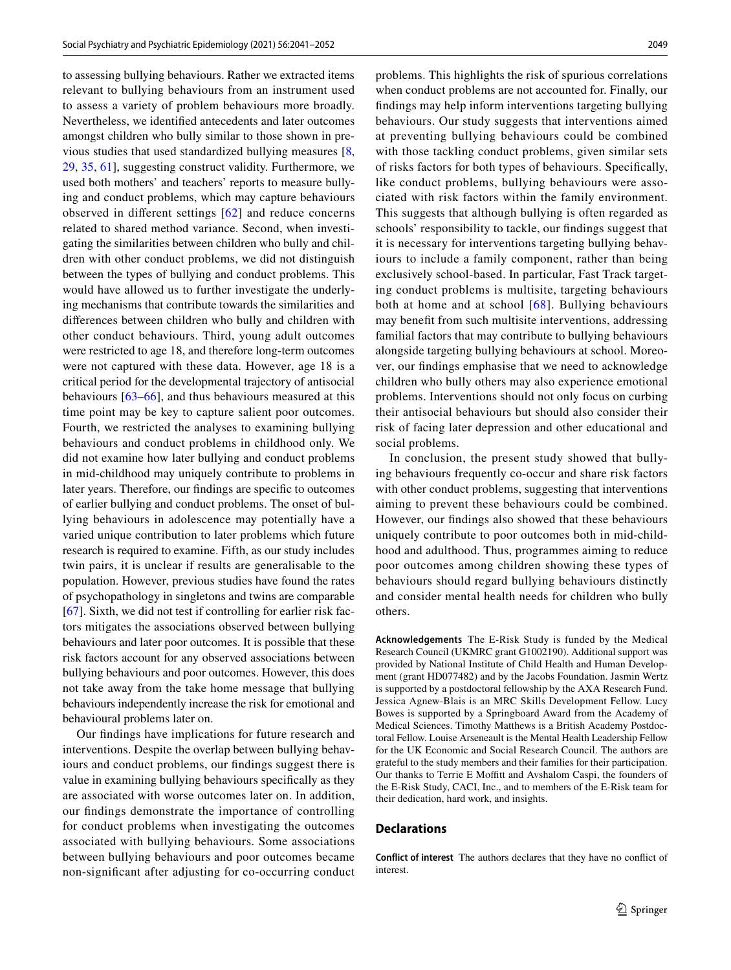to assessing bullying behaviours. Rather we extracted items relevant to bullying behaviours from an instrument used to assess a variety of problem behaviours more broadly. Nevertheless, we identifed antecedents and later outcomes amongst children who bully similar to those shown in previous studies that used standardized bullying measures [[8,](#page-9-5) [29](#page-10-1), [35](#page-10-6), [61\]](#page-11-15), suggesting construct validity. Furthermore, we used both mothers' and teachers' reports to measure bullying and conduct problems, which may capture behaviours observed in diferent settings [[62](#page-11-16)] and reduce concerns related to shared method variance. Second, when investigating the similarities between children who bully and children with other conduct problems, we did not distinguish between the types of bullying and conduct problems. This would have allowed us to further investigate the underlying mechanisms that contribute towards the similarities and diferences between children who bully and children with other conduct behaviours. Third, young adult outcomes were restricted to age 18, and therefore long-term outcomes were not captured with these data. However, age 18 is a critical period for the developmental trajectory of antisocial behaviours [[63](#page-11-17)[–66\]](#page-11-18), and thus behaviours measured at this time point may be key to capture salient poor outcomes. Fourth, we restricted the analyses to examining bullying behaviours and conduct problems in childhood only. We did not examine how later bullying and conduct problems in mid-childhood may uniquely contribute to problems in later years. Therefore, our fndings are specifc to outcomes of earlier bullying and conduct problems. The onset of bullying behaviours in adolescence may potentially have a varied unique contribution to later problems which future research is required to examine. Fifth, as our study includes twin pairs, it is unclear if results are generalisable to the population. However, previous studies have found the rates of psychopathology in singletons and twins are comparable [\[67](#page-11-19)]. Sixth, we did not test if controlling for earlier risk factors mitigates the associations observed between bullying behaviours and later poor outcomes. It is possible that these risk factors account for any observed associations between bullying behaviours and poor outcomes. However, this does not take away from the take home message that bullying behaviours independently increase the risk for emotional and behavioural problems later on.

Our fndings have implications for future research and interventions. Despite the overlap between bullying behaviours and conduct problems, our fndings suggest there is value in examining bullying behaviours specifcally as they are associated with worse outcomes later on. In addition, our fndings demonstrate the importance of controlling for conduct problems when investigating the outcomes associated with bullying behaviours. Some associations between bullying behaviours and poor outcomes became non-signifcant after adjusting for co-occurring conduct problems. This highlights the risk of spurious correlations when conduct problems are not accounted for. Finally, our fndings may help inform interventions targeting bullying behaviours. Our study suggests that interventions aimed at preventing bullying behaviours could be combined with those tackling conduct problems, given similar sets of risks factors for both types of behaviours. Specifcally, like conduct problems, bullying behaviours were associated with risk factors within the family environment. This suggests that although bullying is often regarded as schools' responsibility to tackle, our fndings suggest that it is necessary for interventions targeting bullying behaviours to include a family component, rather than being exclusively school-based. In particular, Fast Track targeting conduct problems is multisite, targeting behaviours both at home and at school [[68\]](#page-11-20). Bullying behaviours may beneft from such multisite interventions, addressing familial factors that may contribute to bullying behaviours alongside targeting bullying behaviours at school. Moreover, our fndings emphasise that we need to acknowledge children who bully others may also experience emotional problems. Interventions should not only focus on curbing their antisocial behaviours but should also consider their risk of facing later depression and other educational and social problems.

In conclusion, the present study showed that bullying behaviours frequently co-occur and share risk factors with other conduct problems, suggesting that interventions aiming to prevent these behaviours could be combined. However, our fndings also showed that these behaviours uniquely contribute to poor outcomes both in mid-childhood and adulthood. Thus, programmes aiming to reduce poor outcomes among children showing these types of behaviours should regard bullying behaviours distinctly and consider mental health needs for children who bully others.

**Acknowledgements** The E-Risk Study is funded by the Medical Research Council (UKMRC grant G1002190). Additional support was provided by National Institute of Child Health and Human Development (grant HD077482) and by the Jacobs Foundation. Jasmin Wertz is supported by a postdoctoral fellowship by the AXA Research Fund. Jessica Agnew-Blais is an MRC Skills Development Fellow. Lucy Bowes is supported by a Springboard Award from the Academy of Medical Sciences. Timothy Matthews is a British Academy Postdoctoral Fellow. Louise Arseneault is the Mental Health Leadership Fellow for the UK Economic and Social Research Council. The authors are grateful to the study members and their families for their participation. Our thanks to Terrie E Moffitt and Avshalom Caspi, the founders of the E-Risk Study, CACI, Inc., and to members of the E-Risk team for their dedication, hard work, and insights.

#### **Declarations**

**Conflict of interest** The authors declares that they have no confict of interest.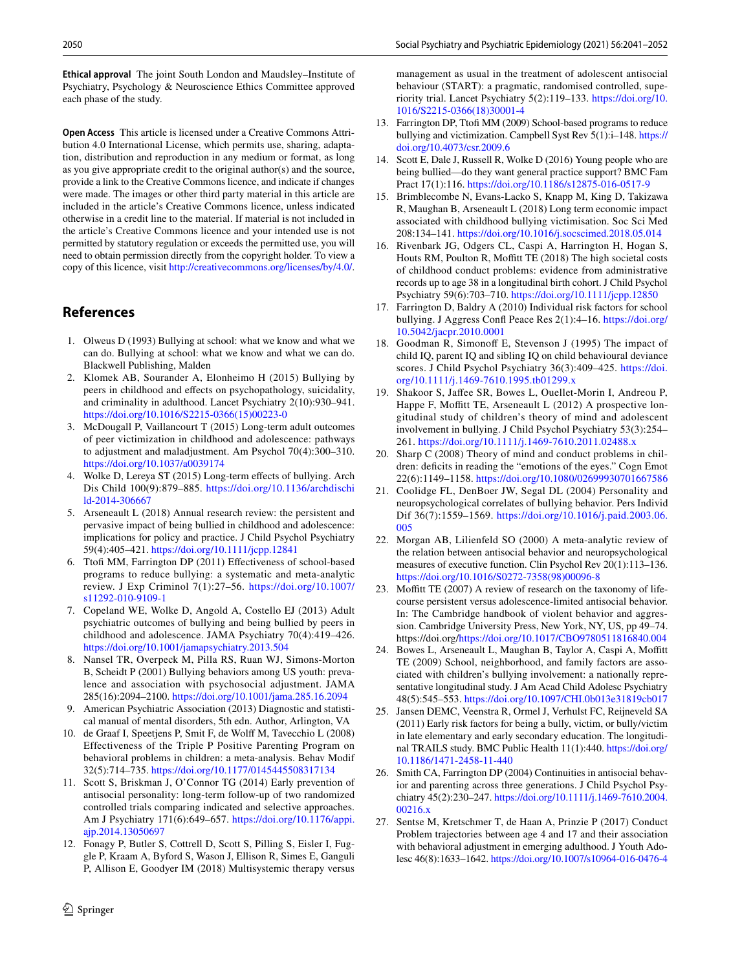**Ethical approval** The joint South London and Maudsley–Institute of Psychiatry, Psychology & Neuroscience Ethics Committee approved each phase of the study.

**Open Access** This article is licensed under a Creative Commons Attribution 4.0 International License, which permits use, sharing, adaptation, distribution and reproduction in any medium or format, as long as you give appropriate credit to the original author(s) and the source, provide a link to the Creative Commons licence, and indicate if changes were made. The images or other third party material in this article are included in the article's Creative Commons licence, unless indicated otherwise in a credit line to the material. If material is not included in the article's Creative Commons licence and your intended use is not permitted by statutory regulation or exceeds the permitted use, you will need to obtain permission directly from the copyright holder. To view a copy of this licence, visit <http://creativecommons.org/licenses/by/4.0/>.

## **References**

- <span id="page-9-0"></span>1. Olweus D (1993) Bullying at school: what we know and what we can do. Bullying at school: what we know and what we can do. Blackwell Publishing, Malden
- <span id="page-9-1"></span>2. Klomek AB, Sourander A, Elonheimo H (2015) Bullying by peers in childhood and efects on psychopathology, suicidality, and criminality in adulthood. Lancet Psychiatry 2(10):930–941. [https://doi.org/10.1016/S2215-0366\(15\)00223-0](https://doi.org/10.1016/S2215-0366(15)00223-0)
- 3. McDougall P, Vaillancourt T (2015) Long-term adult outcomes of peer victimization in childhood and adolescence: pathways to adjustment and maladjustment. Am Psychol 70(4):300–310. <https://doi.org/10.1037/a0039174>
- 4. Wolke D, Lereya ST (2015) Long-term efects of bullying. Arch Dis Child 100(9):879–885. [https://doi.org/10.1136/archdischi](https://doi.org/10.1136/archdischild-2014-306667) [ld-2014-306667](https://doi.org/10.1136/archdischild-2014-306667)
- <span id="page-9-2"></span>5. Arseneault L (2018) Annual research review: the persistent and pervasive impact of being bullied in childhood and adolescence: implications for policy and practice. J Child Psychol Psychiatry 59(4):405–421.<https://doi.org/10.1111/jcpp.12841>
- <span id="page-9-3"></span>6. Ttof MM, Farrington DP (2011) Efectiveness of school-based programs to reduce bullying: a systematic and meta-analytic review. J Exp Criminol 7(1):27–56. [https://doi.org/10.1007/](https://doi.org/10.1007/s11292-010-9109-1) [s11292-010-9109-1](https://doi.org/10.1007/s11292-010-9109-1)
- <span id="page-9-4"></span>7. Copeland WE, Wolke D, Angold A, Costello EJ (2013) Adult psychiatric outcomes of bullying and being bullied by peers in childhood and adolescence. JAMA Psychiatry 70(4):419–426. <https://doi.org/10.1001/jamapsychiatry.2013.504>
- <span id="page-9-5"></span>8. Nansel TR, Overpeck M, Pilla RS, Ruan WJ, Simons-Morton B, Scheidt P (2001) Bullying behaviors among US youth: prevalence and association with psychosocial adjustment. JAMA 285(16):2094–2100. <https://doi.org/10.1001/jama.285.16.2094>
- <span id="page-9-6"></span>9. American Psychiatric Association (2013) Diagnostic and statistical manual of mental disorders, 5th edn. Author, Arlington, VA
- <span id="page-9-7"></span>10. de Graaf I, Speetjens P, Smit F, de Wolf M, Tavecchio L (2008) Effectiveness of the Triple P Positive Parenting Program on behavioral problems in children: a meta-analysis. Behav Modif 32(5):714–735.<https://doi.org/10.1177/0145445508317134>
- 11. Scott S, Briskman J, O'Connor TG (2014) Early prevention of antisocial personality: long-term follow-up of two randomized controlled trials comparing indicated and selective approaches. Am J Psychiatry 171(6):649–657. [https://doi.org/10.1176/appi.](https://doi.org/10.1176/appi.ajp.2014.13050697) [ajp.2014.13050697](https://doi.org/10.1176/appi.ajp.2014.13050697)
- <span id="page-9-8"></span>12. Fonagy P, Butler S, Cottrell D, Scott S, Pilling S, Eisler I, Fuggle P, Kraam A, Byford S, Wason J, Ellison R, Simes E, Ganguli P, Allison E, Goodyer IM (2018) Multisystemic therapy versus

management as usual in the treatment of adolescent antisocial behaviour (START): a pragmatic, randomised controlled, superiority trial. Lancet Psychiatry 5(2):119–133. [https://doi.org/10.](https://doi.org/10.1016/S2215-0366(18)30001-4) [1016/S2215-0366\(18\)30001-4](https://doi.org/10.1016/S2215-0366(18)30001-4)

- <span id="page-9-9"></span>13. Farrington DP, Ttof MM (2009) School-based programs to reduce bullying and victimization. Campbell Syst Rev 5(1):i–148. [https://](https://doi.org/10.4073/csr.2009.6) [doi.org/10.4073/csr.2009.6](https://doi.org/10.4073/csr.2009.6)
- <span id="page-9-10"></span>14. Scott E, Dale J, Russell R, Wolke D (2016) Young people who are being bullied—do they want general practice support? BMC Fam Pract 17(1):116.<https://doi.org/10.1186/s12875-016-0517-9>
- 15. Brimblecombe N, Evans-Lacko S, Knapp M, King D, Takizawa R, Maughan B, Arseneault L (2018) Long term economic impact associated with childhood bullying victimisation. Soc Sci Med 208:134–141. <https://doi.org/10.1016/j.socscimed.2018.05.014>
- <span id="page-9-11"></span>16. Rivenbark JG, Odgers CL, Caspi A, Harrington H, Hogan S, Houts RM, Poulton R, Moffitt TE (2018) The high societal costs of childhood conduct problems: evidence from administrative records up to age 38 in a longitudinal birth cohort. J Child Psychol Psychiatry 59(6):703–710. <https://doi.org/10.1111/jcpp.12850>
- <span id="page-9-12"></span>17. Farrington D, Baldry A (2010) Individual risk factors for school bullying. J Aggress Confl Peace Res 2(1):4-16. [https://doi.org/](https://doi.org/10.5042/jacpr.2010.0001) [10.5042/jacpr.2010.0001](https://doi.org/10.5042/jacpr.2010.0001)
- <span id="page-9-13"></span>18. Goodman R, Simonoff E, Stevenson J (1995) The impact of child IQ, parent IQ and sibling IQ on child behavioural deviance scores. J Child Psychol Psychiatry 36(3):409–425. [https://doi.](https://doi.org/10.1111/j.1469-7610.1995.tb01299.x) [org/10.1111/j.1469-7610.1995.tb01299.x](https://doi.org/10.1111/j.1469-7610.1995.tb01299.x)
- <span id="page-9-14"></span>19. Shakoor S, Jafee SR, Bowes L, Ouellet-Morin I, Andreou P, Happe F, Moffitt TE, Arseneault L (2012) A prospective longitudinal study of children's theory of mind and adolescent involvement in bullying. J Child Psychol Psychiatry 53(3):254– 261. <https://doi.org/10.1111/j.1469-7610.2011.02488.x>
- <span id="page-9-15"></span>20. Sharp C (2008) Theory of mind and conduct problems in children: deficits in reading the "emotions of the eyes." Cogn Emot 22(6):1149–1158.<https://doi.org/10.1080/02699930701667586>
- <span id="page-9-16"></span>21. Coolidge FL, DenBoer JW, Segal DL (2004) Personality and neuropsychological correlates of bullying behavior. Pers Individ Dif 36(7):1559–1569. [https://doi.org/10.1016/j.paid.2003.06.](https://doi.org/10.1016/j.paid.2003.06.005) [005](https://doi.org/10.1016/j.paid.2003.06.005)
- <span id="page-9-17"></span>22. Morgan AB, Lilienfeld SO (2000) A meta-analytic review of the relation between antisocial behavior and neuropsychological measures of executive function. Clin Psychol Rev 20(1):113–136. [https://doi.org/10.1016/S0272-7358\(98\)00096-8](https://doi.org/10.1016/S0272-7358(98)00096-8)
- <span id="page-9-18"></span>23. Moffitt TE (2007) A review of research on the taxonomy of lifecourse persistent versus adolescence-limited antisocial behavior. In: The Cambridge handbook of violent behavior and aggression. Cambridge University Press, New York, NY, US, pp 49–74. https://doi.org/<https://doi.org/10.1017/CBO9780511816840.004>
- 24. Bowes L, Arseneault L, Maughan B, Taylor A, Caspi A, Moffitt TE (2009) School, neighborhood, and family factors are associated with children's bullying involvement: a nationally representative longitudinal study. J Am Acad Child Adolesc Psychiatry 48(5):545–553.<https://doi.org/10.1097/CHI.0b013e31819cb017>
- <span id="page-9-19"></span>25. Jansen DEMC, Veenstra R, Ormel J, Verhulst FC, Reijneveld SA (2011) Early risk factors for being a bully, victim, or bully/victim in late elementary and early secondary education. The longitudinal TRAILS study. BMC Public Health 11(1):440. [https://doi.org/](https://doi.org/10.1186/1471-2458-11-440) [10.1186/1471-2458-11-440](https://doi.org/10.1186/1471-2458-11-440)
- <span id="page-9-20"></span>26. Smith CA, Farrington DP (2004) Continuities in antisocial behavior and parenting across three generations. J Child Psychol Psychiatry 45(2):230–247. [https://doi.org/10.1111/j.1469-7610.2004.](https://doi.org/10.1111/j.1469-7610.2004.00216.x) [00216.x](https://doi.org/10.1111/j.1469-7610.2004.00216.x)
- <span id="page-9-21"></span>27. Sentse M, Kretschmer T, de Haan A, Prinzie P (2017) Conduct Problem trajectories between age 4 and 17 and their association with behavioral adjustment in emerging adulthood. J Youth Adolesc 46(8):1633–1642.<https://doi.org/10.1007/s10964-016-0476-4>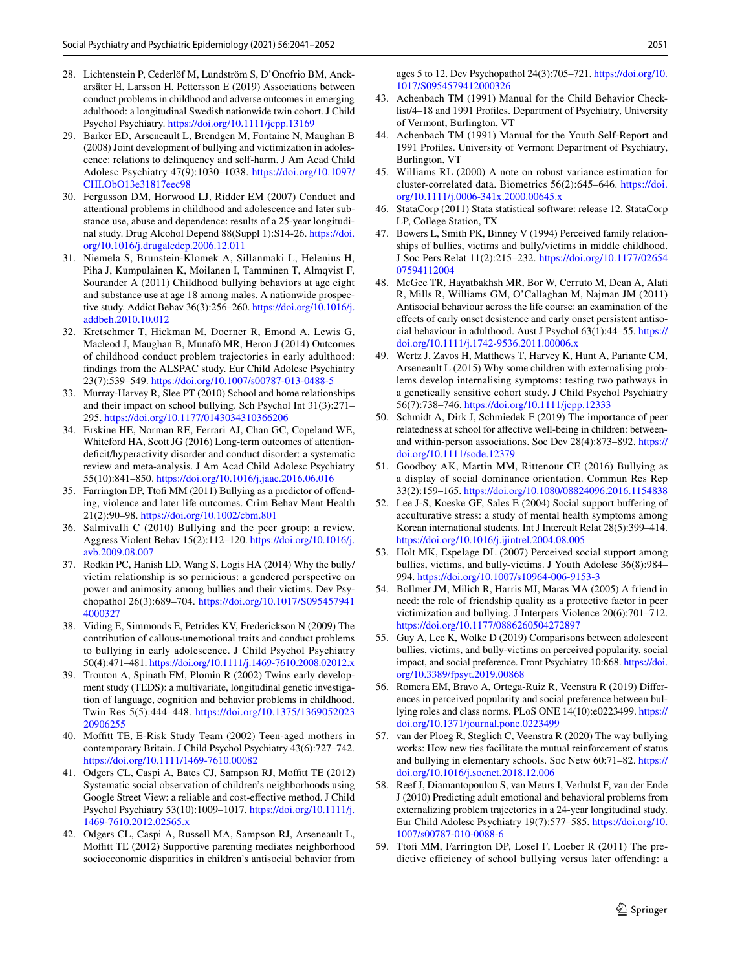- <span id="page-10-0"></span>28. Lichtenstein P, Cederlöf M, Lundström S, D'Onofrio BM, Anckarsäter H, Larsson H, Pettersson E (2019) Associations between conduct problems in childhood and adverse outcomes in emerging adulthood: a longitudinal Swedish nationwide twin cohort. J Child Psychol Psychiatry. <https://doi.org/10.1111/jcpp.13169>
- <span id="page-10-1"></span>29. Barker ED, Arseneault L, Brendgen M, Fontaine N, Maughan B (2008) Joint development of bullying and victimization in adolescence: relations to delinquency and self-harm. J Am Acad Child Adolesc Psychiatry 47(9):1030–1038. [https://doi.org/10.1097/](https://doi.org/10.1097/CHI.ObO13e31817eec98) [CHI.ObO13e31817eec98](https://doi.org/10.1097/CHI.ObO13e31817eec98)
- <span id="page-10-2"></span>30. Fergusson DM, Horwood LJ, Ridder EM (2007) Conduct and attentional problems in childhood and adolescence and later substance use, abuse and dependence: results of a 25-year longitudinal study. Drug Alcohol Depend 88(Suppl 1):S14-26. [https://doi.](https://doi.org/10.1016/j.drugalcdep.2006.12.011) [org/10.1016/j.drugalcdep.2006.12.011](https://doi.org/10.1016/j.drugalcdep.2006.12.011)
- 31. Niemela S, Brunstein-Klomek A, Sillanmaki L, Helenius H, Piha J, Kumpulainen K, Moilanen I, Tamminen T, Almqvist F, Sourander A (2011) Childhood bullying behaviors at age eight and substance use at age 18 among males. A nationwide prospective study. Addict Behav 36(3):256–260. [https://doi.org/10.1016/j.](https://doi.org/10.1016/j.addbeh.2010.10.012) [addbeh.2010.10.012](https://doi.org/10.1016/j.addbeh.2010.10.012)
- <span id="page-10-3"></span>32. Kretschmer T, Hickman M, Doerner R, Emond A, Lewis G, Macleod J, Maughan B, Munafò MR, Heron J (2014) Outcomes of childhood conduct problem trajectories in early adulthood: fndings from the ALSPAC study. Eur Child Adolesc Psychiatry 23(7):539–549.<https://doi.org/10.1007/s00787-013-0488-5>
- <span id="page-10-4"></span>33. Murray-Harvey R, Slee PT (2010) School and home relationships and their impact on school bullying. Sch Psychol Int 31(3):271– 295.<https://doi.org/10.1177/0143034310366206>
- <span id="page-10-5"></span>34. Erskine HE, Norman RE, Ferrari AJ, Chan GC, Copeland WE, Whiteford HA, Scott JG (2016) Long-term outcomes of attentiondeficit/hyperactivity disorder and conduct disorder: a systematic review and meta-analysis. J Am Acad Child Adolesc Psychiatry 55(10):841–850. <https://doi.org/10.1016/j.jaac.2016.06.016>
- <span id="page-10-6"></span>35. Farrington DP, Ttof MM (2011) Bullying as a predictor of ofending, violence and later life outcomes. Crim Behav Ment Health 21(2):90–98. <https://doi.org/10.1002/cbm.801>
- <span id="page-10-7"></span>36. Salmivalli C (2010) Bullying and the peer group: a review. Aggress Violent Behav 15(2):112–120. [https://doi.org/10.1016/j.](https://doi.org/10.1016/j.avb.2009.08.007) [avb.2009.08.007](https://doi.org/10.1016/j.avb.2009.08.007)
- <span id="page-10-8"></span>37. Rodkin PC, Hanish LD, Wang S, Logis HA (2014) Why the bully/ victim relationship is so pernicious: a gendered perspective on power and animosity among bullies and their victims. Dev Psychopathol 26(3):689–704. [https://doi.org/10.1017/S095457941](https://doi.org/10.1017/S0954579414000327) [4000327](https://doi.org/10.1017/S0954579414000327)
- <span id="page-10-9"></span>38. Viding E, Simmonds E, Petrides KV, Frederickson N (2009) The contribution of callous-unemotional traits and conduct problems to bullying in early adolescence. J Child Psychol Psychiatry 50(4):471–481.<https://doi.org/10.1111/j.1469-7610.2008.02012.x>
- <span id="page-10-10"></span>39. Trouton A, Spinath FM, Plomin R (2002) Twins early development study (TEDS): a multivariate, longitudinal genetic investigation of language, cognition and behavior problems in childhood. Twin Res 5(5):444–448. [https://doi.org/10.1375/1369052023](https://doi.org/10.1375/136905202320906255) [20906255](https://doi.org/10.1375/136905202320906255)
- <span id="page-10-11"></span>40. Moffitt TE, E-Risk Study Team (2002) Teen-aged mothers in contemporary Britain. J Child Psychol Psychiatry 43(6):727–742. <https://doi.org/10.1111/1469-7610.00082>
- <span id="page-10-12"></span>41. Odgers CL, Caspi A, Bates CJ, Sampson RJ, Moffitt TE (2012) Systematic social observation of children's neighborhoods using Google Street View: a reliable and cost-efective method. J Child Psychol Psychiatry 53(10):1009–1017. [https://doi.org/10.1111/j.](https://doi.org/10.1111/j.1469-7610.2012.02565.x) [1469-7610.2012.02565.x](https://doi.org/10.1111/j.1469-7610.2012.02565.x)
- <span id="page-10-13"></span>42. Odgers CL, Caspi A, Russell MA, Sampson RJ, Arseneault L, Moffitt TE (2012) Supportive parenting mediates neighborhood socioeconomic disparities in children's antisocial behavior from

ages 5 to 12. Dev Psychopathol 24(3):705–721. [https://doi.org/10.](https://doi.org/10.1017/S0954579412000326) [1017/S0954579412000326](https://doi.org/10.1017/S0954579412000326)

- <span id="page-10-14"></span>43. Achenbach TM (1991) Manual for the Child Behavior Checklist/4–18 and 1991 Profles. Department of Psychiatry, University of Vermont, Burlington, VT
- <span id="page-10-15"></span>44. Achenbach TM (1991) Manual for the Youth Self-Report and 1991 Profles. University of Vermont Department of Psychiatry, Burlington, VT
- <span id="page-10-16"></span>45. Williams RL (2000) A note on robust variance estimation for cluster-correlated data. Biometrics 56(2):645–646. [https://doi.](https://doi.org/10.1111/j.0006-341x.2000.00645.x) [org/10.1111/j.0006-341x.2000.00645.x](https://doi.org/10.1111/j.0006-341x.2000.00645.x)
- <span id="page-10-17"></span>46. StataCorp (2011) Stata statistical software: release 12. StataCorp LP, College Station, TX
- <span id="page-10-18"></span>47. Bowers L, Smith PK, Binney V (1994) Perceived family relationships of bullies, victims and bully/victims in middle childhood. J Soc Pers Relat 11(2):215–232. [https://doi.org/10.1177/02654](https://doi.org/10.1177/0265407594112004) [07594112004](https://doi.org/10.1177/0265407594112004)
- <span id="page-10-19"></span>48. McGee TR, Hayatbakhsh MR, Bor W, Cerruto M, Dean A, Alati R, Mills R, Williams GM, O'Callaghan M, Najman JM (2011) Antisocial behaviour across the life course: an examination of the efects of early onset desistence and early onset persistent antisocial behaviour in adulthood. Aust J Psychol 63(1):44–55. [https://](https://doi.org/10.1111/j.1742-9536.2011.00006.x) [doi.org/10.1111/j.1742-9536.2011.00006.x](https://doi.org/10.1111/j.1742-9536.2011.00006.x)
- <span id="page-10-20"></span>49. Wertz J, Zavos H, Matthews T, Harvey K, Hunt A, Pariante CM, Arseneault L (2015) Why some children with externalising problems develop internalising symptoms: testing two pathways in a genetically sensitive cohort study. J Child Psychol Psychiatry 56(7):738–746.<https://doi.org/10.1111/jcpp.12333>
- <span id="page-10-21"></span>50. Schmidt A, Dirk J, Schmiedek F (2019) The importance of peer relatedness at school for afective well-being in children: betweenand within-person associations. Soc Dev 28(4):873–892. [https://](https://doi.org/10.1111/sode.12379) [doi.org/10.1111/sode.12379](https://doi.org/10.1111/sode.12379)
- <span id="page-10-22"></span>51. Goodboy AK, Martin MM, Rittenour CE (2016) Bullying as a display of social dominance orientation. Commun Res Rep 33(2):159–165.<https://doi.org/10.1080/08824096.2016.1154838>
- <span id="page-10-23"></span>52. Lee J-S, Koeske GF, Sales E (2004) Social support bufering of acculturative stress: a study of mental health symptoms among Korean international students. Int J Intercult Relat 28(5):399–414. <https://doi.org/10.1016/j.ijintrel.2004.08.005>
- <span id="page-10-24"></span>53. Holt MK, Espelage DL (2007) Perceived social support among bullies, victims, and bully-victims. J Youth Adolesc 36(8):984– 994.<https://doi.org/10.1007/s10964-006-9153-3>
- <span id="page-10-25"></span>54. Bollmer JM, Milich R, Harris MJ, Maras MA (2005) A friend in need: the role of friendship quality as a protective factor in peer victimization and bullying. J Interpers Violence 20(6):701–712. <https://doi.org/10.1177/0886260504272897>
- <span id="page-10-26"></span>55. Guy A, Lee K, Wolke D (2019) Comparisons between adolescent bullies, victims, and bully-victims on perceived popularity, social impact, and social preference. Front Psychiatry 10:868. [https://doi.](https://doi.org/10.3389/fpsyt.2019.00868) [org/10.3389/fpsyt.2019.00868](https://doi.org/10.3389/fpsyt.2019.00868)
- 56. Romera EM, Bravo A, Ortega-Ruiz R, Veenstra R (2019) Diferences in perceived popularity and social preference between bullying roles and class norms. PLoS ONE 14(10):e0223499. [https://](https://doi.org/10.1371/journal.pone.0223499) [doi.org/10.1371/journal.pone.0223499](https://doi.org/10.1371/journal.pone.0223499)
- <span id="page-10-27"></span>57. van der Ploeg R, Steglich C, Veenstra R (2020) The way bullying works: How new ties facilitate the mutual reinforcement of status and bullying in elementary schools. Soc Netw 60:71–82. [https://](https://doi.org/10.1016/j.socnet.2018.12.006) [doi.org/10.1016/j.socnet.2018.12.006](https://doi.org/10.1016/j.socnet.2018.12.006)
- <span id="page-10-28"></span>58. Reef J, Diamantopoulou S, van Meurs I, Verhulst F, van der Ende J (2010) Predicting adult emotional and behavioral problems from externalizing problem trajectories in a 24-year longitudinal study. Eur Child Adolesc Psychiatry 19(7):577–585. [https://doi.org/10.](https://doi.org/10.1007/s00787-010-0088-6) [1007/s00787-010-0088-6](https://doi.org/10.1007/s00787-010-0088-6)
- <span id="page-10-29"></span>Ttofi MM, Farrington DP, Losel F, Loeber R (2011) The predictive efficiency of school bullying versus later offending: a